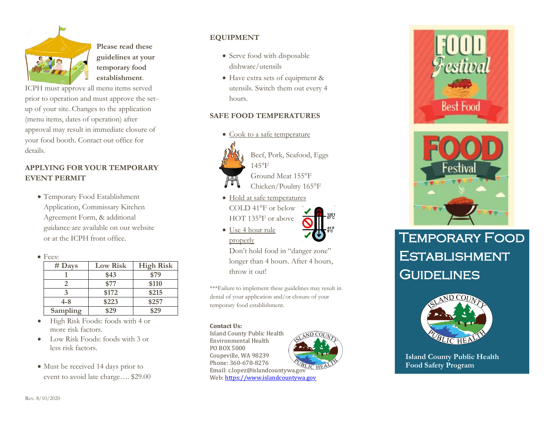

**Please read these guidelines at your temporary food establishment**.

ICPH must approve all menu items served prior to operation and must approve the setup of your site. Changes to the application (menu items, dates of operation) after approval may result in immediate closure of your food booth. Contact our office for details.

### **APPLYING FOR YOUR TEMPORARY EVENT PERMIT**

 Temporary Food Establishment Application, Commissary Kitchen Agreement Form, & additional guidance are available on our website or at the ICPH front office.



| .        |                 |                  |
|----------|-----------------|------------------|
| $#$ Days | <b>Low Risk</b> | <b>High Risk</b> |
|          | \$43            | \$79             |
|          | \$77            | \$110            |
|          | \$172           | \$215            |
| $4 - 8$  | \$223           | \$257            |
| Sampling | \$29            | \$29             |
|          |                 |                  |

- High Risk Foods: foods with 4 or more risk factors.
- Low Risk Foods: foods with 3 or less risk factors.
- Must be received 14 days prior to event to avoid late charge…. \$29.00

# **EQUIPMENT**

- Serve food with disposable dishware/utensils
- Have extra sets of equipment & utensils. Switch them out every 4 hours.

## **SAFE FOOD TEMPERATURES**

• Cook to a safe temperature



Beef, Pork, Seafood, Eggs 145°F

Ground Meat 155°F

- Chicken/Poultry 165°F
- Hold at safe temperatures COLD 41°F or below HOT 135°F or above



 Use 4 hour rule properly

Don't hold food in "danger zone" longer than 4 hours. After 4 hours, throw it out!

\*\*\*Failure to implement these guidelines may result in denial of your application and/or closure of your temporary food establishment.

#### **Contact Us:**

Island County Public Health Environmental Health PO BOX 5000 Coupeville, WA 98239 Phone: 360-678-8276 Phone: 300-070-0270<br>Email: c.lopez@islandcountywa.gov Web: https://www.islandcountywa.gov



**Best Food** 



# Temporary Food **ESTABLISHMENT GUIDELINES**



**Island County Public Health Food Safety Program**